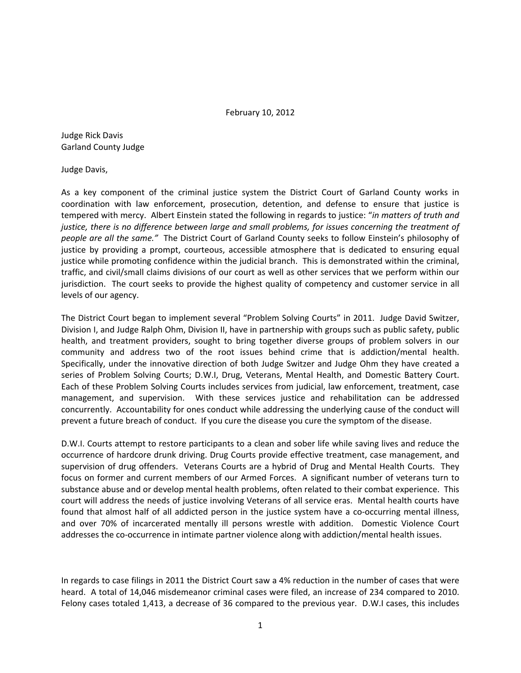## February 10, 2012

Judge Rick Davis Garland County Judge

Judge Davis,

As a key component of the criminal justice system the District Court of Garland County works in coordination with law enforcement, prosecution, detention, and defense to ensure that justice is tempered with mercy. Albert Einstein stated the following in regards to justice: "*in matters of truth and justice, there is no difference between large and small problems, for issues concerning the treatment of people are all the same."* The District Court of Garland County seeks to follow Einstein's philosophy of justice by providing a prompt, courteous, accessible atmosphere that is dedicated to ensuring equal justice while promoting confidence within the judicial branch. This is demonstrated within the criminal, traffic, and civil/small claims divisions of our court as well as other services that we perform within our jurisdiction. The court seeks to provide the highest quality of competency and customer service in all levels of our agency.

The District Court began to implement several "Problem Solving Courts" in 2011. Judge David Switzer, Division I, and Judge Ralph Ohm, Division II, have in partnership with groups such as public safety, public health, and treatment providers, sought to bring together diverse groups of problem solvers in our community and address two of the root issues behind crime that is addiction/mental health. Specifically, under the innovative direction of both Judge Switzer and Judge Ohm they have created a series of Problem Solving Courts; D.W.I, Drug, Veterans, Mental Health, and Domestic Battery Court. Each of these Problem Solving Courts includes services from judicial, law enforcement, treatment, case management, and supervision. With these services justice and rehabilitation can be addressed concurrently. Accountability for ones conduct while addressing the underlying cause of the conduct will prevent a future breach of conduct. If you cure the disease you cure the symptom of the disease.

D.W.I. Courts attempt to restore participants to a clean and sober life while saving lives and reduce the occurrence of hardcore drunk driving. Drug Courts provide effective treatment, case management, and supervision of drug offenders. Veterans Courts are a hybrid of Drug and Mental Health Courts. They focus on former and current members of our Armed Forces. A significant number of veterans turn to substance abuse and or develop mental health problems, often related to their combat experience. This court will address the needs of justice involving Veterans of all service eras. Mental health courts have found that almost half of all addicted person in the justice system have a co-occurring mental illness, and over 70% of incarcerated mentally ill persons wrestle with addition. Domestic Violence Court addresses the co-occurrence in intimate partner violence along with addiction/mental health issues.

In regards to case filings in 2011 the District Court saw a 4% reduction in the number of cases that were heard. A total of 14,046 misdemeanor criminal cases were filed, an increase of 234 compared to 2010. Felony cases totaled 1,413, a decrease of 36 compared to the previous year. D.W.I cases, this includes